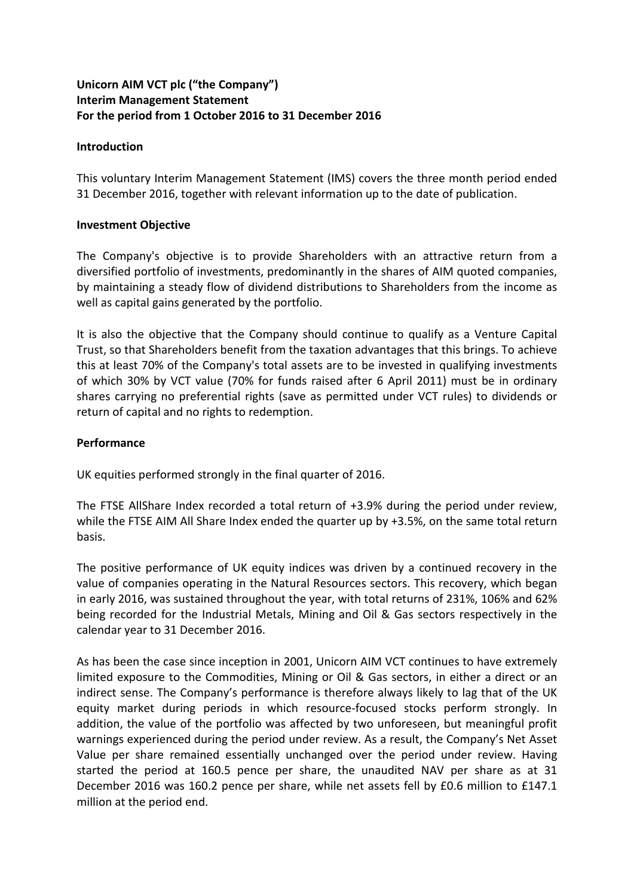# **Unicorn AIM VCT plc ("the Company") Interim Management Statement For the period from 1 October 2016 to 31 December 2016**

### **Introduction**

This voluntary Interim Management Statement (IMS) covers the three month period ended 31 December 2016, together with relevant information up to the date of publication.

### **Investment Objective**

The Company's objective is to provide Shareholders with an attractive return from a diversified portfolio of investments, predominantly in the shares of AIM quoted companies, by maintaining a steady flow of dividend distributions to Shareholders from the income as well as capital gains generated by the portfolio.

It is also the objective that the Company should continue to qualify as a Venture Capital Trust, so that Shareholders benefit from the taxation advantages that this brings. To achieve this at least 70% of the Company's total assets are to be invested in qualifying investments of which 30% by VCT value (70% for funds raised after 6 April 2011) must be in ordinary shares carrying no preferential rights (save as permitted under VCT rules) to dividends or return of capital and no rights to redemption.

# **Performance**

UK equities performed strongly in the final quarter of 2016.

The FTSE AllShare Index recorded a total return of +3.9% during the period under review, while the FTSE AIM All Share Index ended the quarter up by +3.5%, on the same total return basis.

The positive performance of UK equity indices was driven by a continued recovery in the value of companies operating in the Natural Resources sectors. This recovery, which began in early 2016, was sustained throughout the year, with total returns of 231%, 106% and 62% being recorded for the Industrial Metals, Mining and Oil & Gas sectors respectively in the calendar year to 31 December 2016.

As has been the case since inception in 2001, Unicorn AIM VCT continues to have extremely limited exposure to the Commodities, Mining or Oil & Gas sectors, in either a direct or an indirect sense. The Company's performance is therefore always likely to lag that of the UK equity market during periods in which resource-focused stocks perform strongly. In addition, the value of the portfolio was affected by two unforeseen, but meaningful profit warnings experienced during the period under review. As a result, the Company's Net Asset Value per share remained essentially unchanged over the period under review. Having started the period at 160.5 pence per share, the unaudited NAV per share as at 31 December 2016 was 160.2 pence per share, while net assets fell by £0.6 million to £147.1 million at the period end.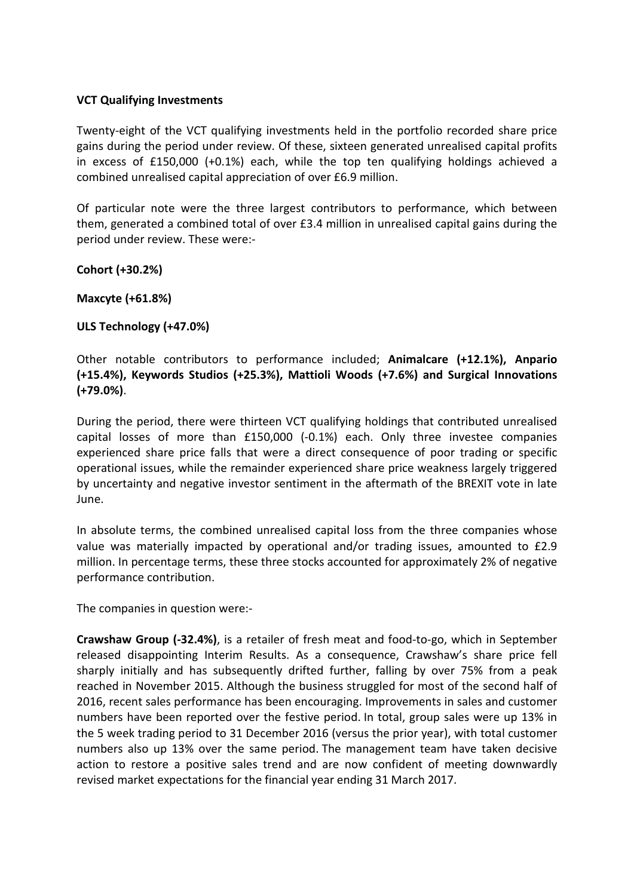### **VCT Qualifying Investments**

Twenty-eight of the VCT qualifying investments held in the portfolio recorded share price gains during the period under review. Of these, sixteen generated unrealised capital profits in excess of £150,000 (+0.1%) each, while the top ten qualifying holdings achieved a combined unrealised capital appreciation of over £6.9 million.

Of particular note were the three largest contributors to performance, which between them, generated a combined total of over £3.4 million in unrealised capital gains during the period under review. These were:-

**Cohort (+30.2%)**

**Maxcyte (+61.8%)**

## **ULS Technology (+47.0%)**

Other notable contributors to performance included; **Animalcare (+12.1%), Anpario (+15.4%), Keywords Studios (+25.3%), Mattioli Woods (+7.6%) and Surgical Innovations (+79.0%)**.

During the period, there were thirteen VCT qualifying holdings that contributed unrealised capital losses of more than £150,000 (-0.1%) each. Only three investee companies experienced share price falls that were a direct consequence of poor trading or specific operational issues, while the remainder experienced share price weakness largely triggered by uncertainty and negative investor sentiment in the aftermath of the BREXIT vote in late June.

In absolute terms, the combined unrealised capital loss from the three companies whose value was materially impacted by operational and/or trading issues, amounted to £2.9 million. In percentage terms, these three stocks accounted for approximately 2% of negative performance contribution.

The companies in question were:-

**Crawshaw Group (-32.4%)**, is a retailer of fresh meat and food-to-go, which in September released disappointing Interim Results. As a consequence, Crawshaw's share price fell sharply initially and has subsequently drifted further, falling by over 75% from a peak reached in November 2015. Although the business struggled for most of the second half of 2016, recent sales performance has been encouraging. Improvements in sales and customer numbers have been reported over the festive period. In total, group sales were up 13% in the 5 week trading period to 31 December 2016 (versus the prior year), with total customer numbers also up 13% over the same period. The management team have taken decisive action to restore a positive sales trend and are now confident of meeting downwardly revised market expectations for the financial year ending 31 March 2017.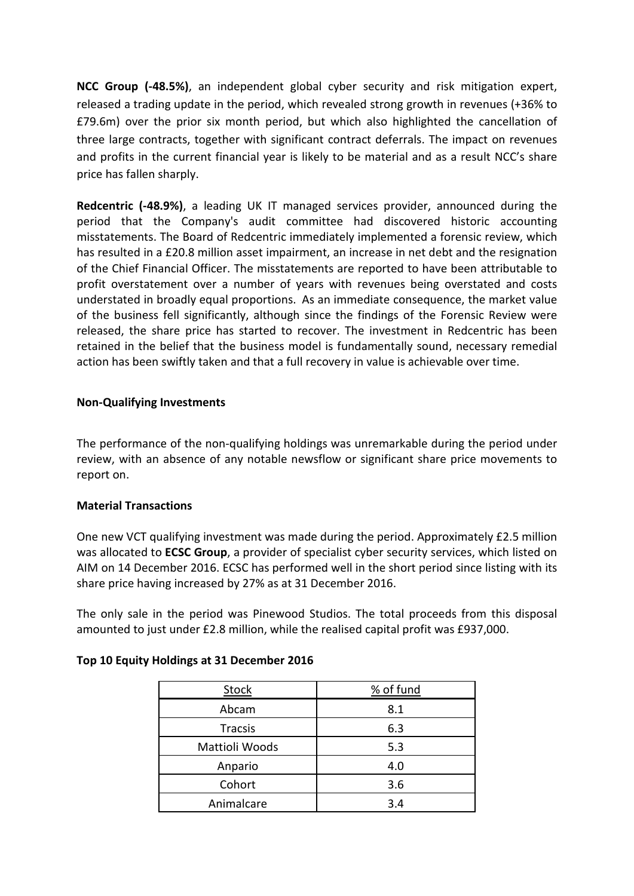**NCC Group (-48.5%)**, an independent global cyber security and risk mitigation expert, released a trading update in the period, which revealed strong growth in revenues (+36% to £79.6m) over the prior six month period, but which also highlighted the cancellation of three large contracts, together with significant contract deferrals. The impact on revenues and profits in the current financial year is likely to be material and as a result NCC's share price has fallen sharply.

**Redcentric (-48.9%)**, a leading UK IT managed services provider, announced during the period that the Company's audit committee had discovered historic accounting misstatements. The Board of Redcentric immediately implemented a forensic review, which has resulted in a £20.8 million asset impairment, an increase in net debt and the resignation of the Chief Financial Officer. The misstatements are reported to have been attributable to profit overstatement over a number of years with revenues being overstated and costs understated in broadly equal proportions. As an immediate consequence, the market value of the business fell significantly, although since the findings of the Forensic Review were released, the share price has started to recover. The investment in Redcentric has been retained in the belief that the business model is fundamentally sound, necessary remedial action has been swiftly taken and that a full recovery in value is achievable over time.

# **Non-Qualifying Investments**

The performance of the non-qualifying holdings was unremarkable during the period under review, with an absence of any notable newsflow or significant share price movements to report on.

### **Material Transactions**

One new VCT qualifying investment was made during the period. Approximately £2.5 million was allocated to **ECSC Group**, a provider of specialist cyber security services, which listed on AIM on 14 December 2016. ECSC has performed well in the short period since listing with its share price having increased by 27% as at 31 December 2016.

The only sale in the period was Pinewood Studios. The total proceeds from this disposal amounted to just under £2.8 million, while the realised capital profit was £937,000.

| <b>Stock</b>   | % of fund |
|----------------|-----------|
| Abcam          | 8.1       |
| Tracsis        | 6.3       |
| Mattioli Woods | 5.3       |
| Anpario        | 4.0       |
| Cohort         | 3.6       |
| Animalcare     | 3.4       |

### **Top 10 Equity Holdings at 31 December 2016**